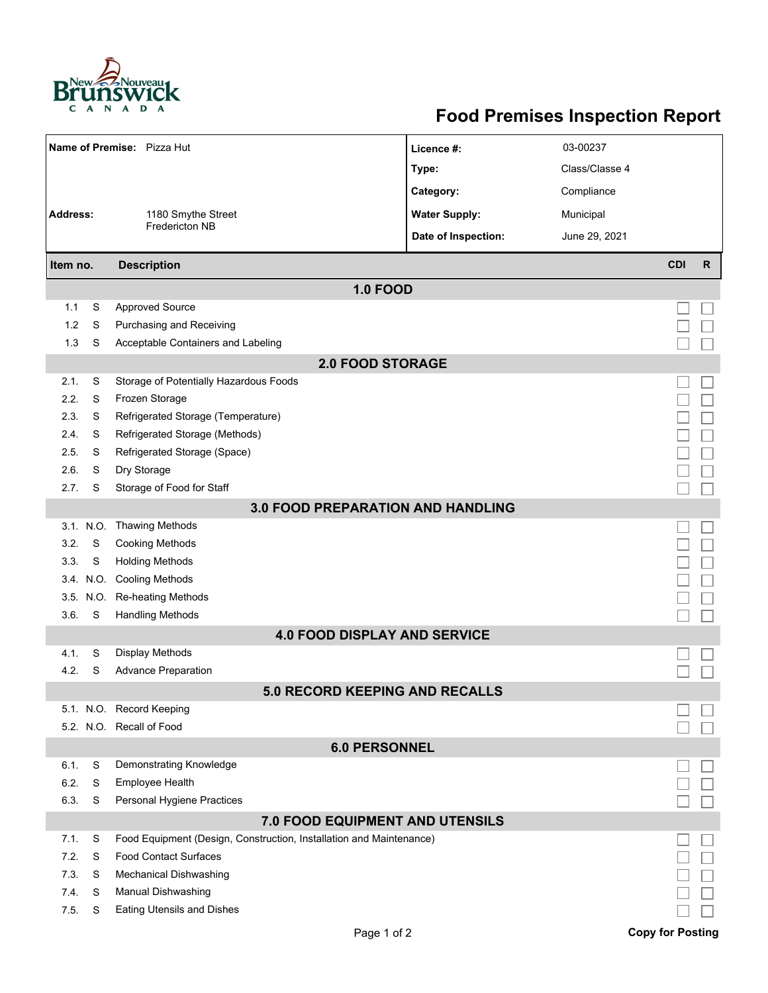

## **Food Premises Inspection Report**

| Name of Premise: Pizza Hut               |           |                                                                     | Licence #:           | 03-00237       |                         |              |  |  |  |
|------------------------------------------|-----------|---------------------------------------------------------------------|----------------------|----------------|-------------------------|--------------|--|--|--|
|                                          |           |                                                                     | Type:                | Class/Classe 4 |                         |              |  |  |  |
|                                          |           |                                                                     | Category:            | Compliance     |                         |              |  |  |  |
| <b>Address:</b><br>1180 Smythe Street    |           |                                                                     | <b>Water Supply:</b> | Municipal      |                         |              |  |  |  |
|                                          |           | <b>Fredericton NB</b>                                               | Date of Inspection:  | June 29, 2021  |                         |              |  |  |  |
|                                          |           |                                                                     |                      |                |                         |              |  |  |  |
| Item no.                                 |           | <b>Description</b>                                                  |                      |                | <b>CDI</b>              | $\mathsf{R}$ |  |  |  |
| <b>1.0 FOOD</b>                          |           |                                                                     |                      |                |                         |              |  |  |  |
| 1.1                                      | S         | <b>Approved Source</b>                                              |                      |                |                         |              |  |  |  |
| 1.2                                      | S         | Purchasing and Receiving                                            |                      |                |                         |              |  |  |  |
| 1.3                                      | S         | Acceptable Containers and Labeling                                  |                      |                |                         |              |  |  |  |
| <b>2.0 FOOD STORAGE</b>                  |           |                                                                     |                      |                |                         |              |  |  |  |
| 2.1.                                     | S         | Storage of Potentially Hazardous Foods                              |                      |                |                         |              |  |  |  |
| 2.2.                                     | S         | Frozen Storage                                                      |                      |                |                         |              |  |  |  |
| 2.3.                                     | S         | Refrigerated Storage (Temperature)                                  |                      |                |                         |              |  |  |  |
| 2.4.                                     | S         | Refrigerated Storage (Methods)                                      |                      |                |                         |              |  |  |  |
| 2.5.                                     | S         | Refrigerated Storage (Space)                                        |                      |                |                         |              |  |  |  |
| 2.6.                                     | S         | Dry Storage                                                         |                      |                |                         |              |  |  |  |
| 2.7.                                     | S         | Storage of Food for Staff                                           |                      |                |                         |              |  |  |  |
| <b>3.0 FOOD PREPARATION AND HANDLING</b> |           |                                                                     |                      |                |                         |              |  |  |  |
|                                          | 3.1. N.O. | <b>Thawing Methods</b>                                              |                      |                |                         |              |  |  |  |
| 3.2.                                     | S         | <b>Cooking Methods</b>                                              |                      |                |                         |              |  |  |  |
| 3.3.                                     | S         | <b>Holding Methods</b>                                              |                      |                |                         |              |  |  |  |
|                                          |           | 3.4. N.O. Cooling Methods                                           |                      |                |                         |              |  |  |  |
|                                          | 3.5. N.O. | Re-heating Methods                                                  |                      |                |                         |              |  |  |  |
| 3.6.                                     | S         | <b>Handling Methods</b>                                             |                      |                |                         |              |  |  |  |
| <b>4.0 FOOD DISPLAY AND SERVICE</b>      |           |                                                                     |                      |                |                         |              |  |  |  |
| 4.1.                                     | S         | Display Methods                                                     |                      |                |                         |              |  |  |  |
| 4.2.                                     | S         | <b>Advance Preparation</b>                                          |                      |                |                         |              |  |  |  |
| 5.0 RECORD KEEPING AND RECALLS           |           |                                                                     |                      |                |                         |              |  |  |  |
|                                          |           | 5.1. N.O. Record Keeping                                            |                      |                |                         |              |  |  |  |
|                                          |           | 5.2. N.O. Recall of Food                                            |                      |                |                         |              |  |  |  |
| <b>6.0 PERSONNEL</b>                     |           |                                                                     |                      |                |                         |              |  |  |  |
| 6.1.                                     | S         | Demonstrating Knowledge                                             |                      |                |                         |              |  |  |  |
| 6.2.                                     | S         | Employee Health                                                     |                      |                |                         |              |  |  |  |
| 6.3.                                     | S         | Personal Hygiene Practices                                          |                      |                |                         |              |  |  |  |
| 7.0 FOOD EQUIPMENT AND UTENSILS          |           |                                                                     |                      |                |                         |              |  |  |  |
| 7.1.                                     | S         | Food Equipment (Design, Construction, Installation and Maintenance) |                      |                |                         |              |  |  |  |
| 7.2.                                     | S         | <b>Food Contact Surfaces</b>                                        |                      |                |                         |              |  |  |  |
| 7.3                                      | S         | <b>Mechanical Dishwashing</b>                                       |                      |                |                         |              |  |  |  |
| 7.4.                                     | S         | Manual Dishwashing                                                  |                      |                |                         |              |  |  |  |
| 7.5.                                     | S         | <b>Eating Utensils and Dishes</b>                                   |                      |                |                         |              |  |  |  |
|                                          |           | Page 1 of 2                                                         |                      |                | <b>Copy for Posting</b> |              |  |  |  |